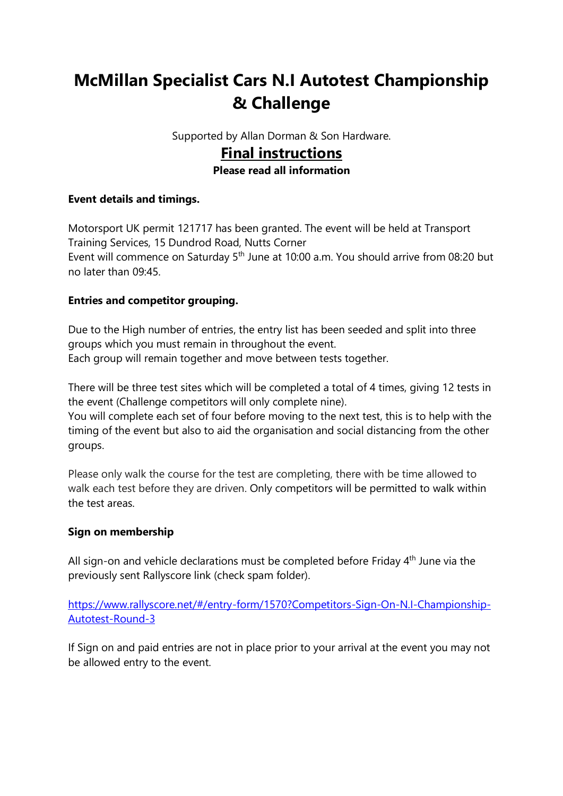# **McMillan Specialist Cars N.I Autotest Championship & Challenge**

Supported by Allan Dorman & Son Hardware.

# **Final instructions**

#### **Please read all information**

#### **Event details and timings.**

Motorsport UK permit 121717 has been granted. The event will be held at Transport Training Services, 15 Dundrod Road, Nutts Corner Event will commence on Saturday 5<sup>th</sup> June at 10:00 a.m. You should arrive from 08:20 but no later than 09:45.

#### **Entries and competitor grouping.**

Due to the High number of entries, the entry list has been seeded and split into three groups which you must remain in throughout the event. Each group will remain together and move between tests together.

There will be three test sites which will be completed a total of 4 times, giving 12 tests in the event (Challenge competitors will only complete nine).

You will complete each set of four before moving to the next test, this is to help with the timing of the event but also to aid the organisation and social distancing from the other groups.

Please only walk the course for the test are completing, there with be time allowed to walk each test before they are driven. Only competitors will be permitted to walk within the test areas.

#### **Sign on membership**

All sign-on and vehicle declarations must be completed before Friday 4<sup>th</sup> June via the previously sent Rallyscore link (check spam folder).

### [https://www.rallyscore.net/#/entry-form/1570?Competitors-Sign-On-N.I-Championship-](https://www.rallyscore.net/#/entry-form/1570?Competitors-Sign-On-N.I-Championship-Autotest-Round-3)[Autotest-Round-3](https://www.rallyscore.net/#/entry-form/1570?Competitors-Sign-On-N.I-Championship-Autotest-Round-3)

If Sign on and paid entries are not in place prior to your arrival at the event you may not be allowed entry to the event.